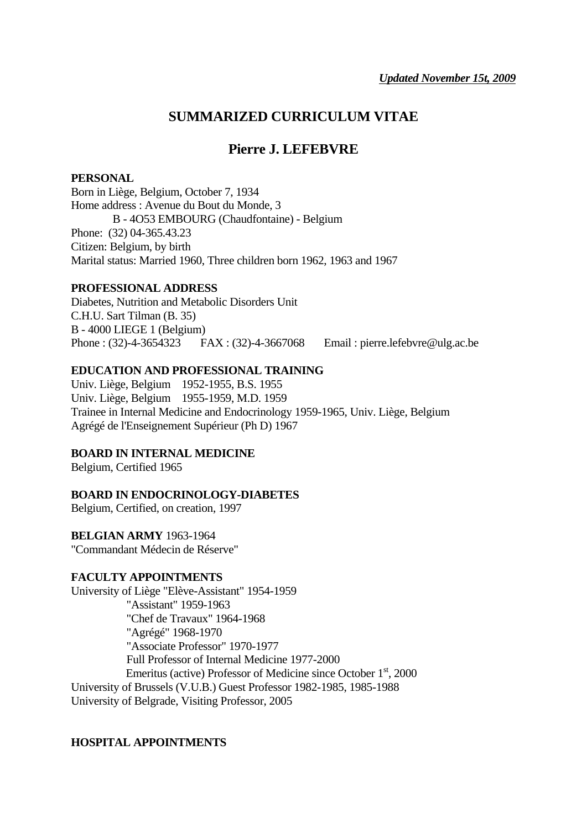## **SUMMARIZED CURRICULUM VITAE**

# **Pierre J. LEFEBVRE**

### **PERSONAL**

Born in Liège, Belgium, October 7, 1934 Home address : Avenue du Bout du Monde, 3 B - 4O53 EMBOURG (Chaudfontaine) - Belgium Phone: (32) 04-365.43.23 Citizen: Belgium, by birth Marital status: Married 1960, Three children born 1962, 1963 and 1967

## **PROFESSIONAL ADDRESS**

Diabetes, Nutrition and Metabolic Disorders Unit C.H.U. Sart Tilman (B. 35) B - 4000 LIEGE 1 (Belgium) Phone : (32)-4-3654323 FAX : (32)-4-3667068 Email : pierre.lefebvre@ulg.ac.be

### **EDUCATION AND PROFESSIONAL TRAINING**

Univ. Liège, Belgium 1952-1955, B.S. 1955 Univ. Liège, Belgium 1955-1959, M.D. 1959 Trainee in Internal Medicine and Endocrinology 1959-1965, Univ. Liège, Belgium Agrégé de l'Enseignement Supérieur (Ph D) 1967

## **BOARD IN INTERNAL MEDICINE**

Belgium, Certified 1965

## **BOARD IN ENDOCRINOLOGY-DIABETES**

Belgium, Certified, on creation, 1997

#### **BELGIAN ARMY** 1963-1964

"Commandant Médecin de Réserve"

#### **FACULTY APPOINTMENTS**

University of Liège "Elève-Assistant" 1954-1959 "Assistant" 1959-1963 "Chef de Travaux" 1964-1968 "Agrégé" 1968-1970 "Associate Professor" 1970-1977 Full Professor of Internal Medicine 1977-2000 Emeritus (active) Professor of Medicine since October 1<sup>st</sup>, 2000 University of Brussels (V.U.B.) Guest Professor 1982-1985, 1985-1988 University of Belgrade, Visiting Professor, 2005

## **HOSPITAL APPOINTMENTS**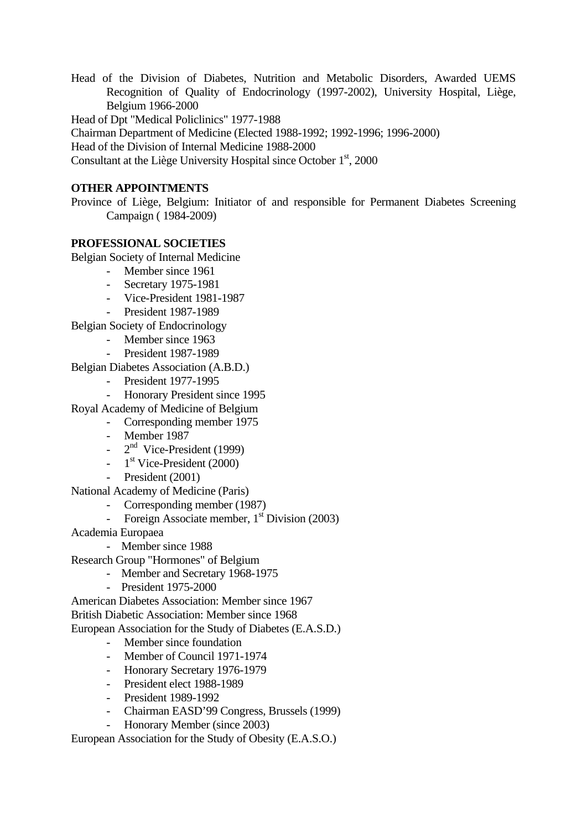Head of the Division of Diabetes, Nutrition and Metabolic Disorders, Awarded UEMS Recognition of Quality of Endocrinology (1997-2002), University Hospital, Liège, Belgium 1966-2000

Head of Dpt "Medical Policlinics" 1977-1988

Chairman Department of Medicine (Elected 1988-1992; 1992-1996; 1996-2000)

Head of the Division of Internal Medicine 1988-2000

Consultant at the Liège University Hospital since October 1<sup>st</sup>, 2000

#### **OTHER APPOINTMENTS**

Province of Liège, Belgium: Initiator of and responsible for Permanent Diabetes Screening Campaign ( 1984-2009)

#### **PROFESSIONAL SOCIETIES**

Belgian Society of Internal Medicine

- Member since 1961
- Secretary 1975-1981
- Vice-President 1981-1987
- President 1987-1989

Belgian Society of Endocrinology

- Member since 1963
- President 1987-1989
- Belgian Diabetes Association (A.B.D.)
	- President 1977-1995
	- Honorary President since 1995
- Royal Academy of Medicine of Belgium
	- Corresponding member 1975
	- Member 1987
	- $-2<sup>nd</sup>$  Vice-President (1999)
	- $-1$ <sup>st</sup> Vice-President (2000)
	- President (2001)
- National Academy of Medicine (Paris)
	- Corresponding member (1987)
	- Foreign Associate member, 1<sup>st</sup> Division (2003)
- Academia Europaea
	- Member since 1988
- Research Group "Hormones" of Belgium
	- Member and Secretary 1968-1975
	- President 1975-2000

American Diabetes Association: Member since 1967 British Diabetic Association: Member since 1968 European Association for the Study of Diabetes (E.A.S.D.)

- Member since foundation
- Member of Council 1971-1974
- Honorary Secretary 1976-1979
- President elect 1988-1989
- President 1989-1992
- Chairman EASD'99 Congress, Brussels (1999) Honorary Member (since 2003)

European Association for the Study of Obesity (E.A.S.O.)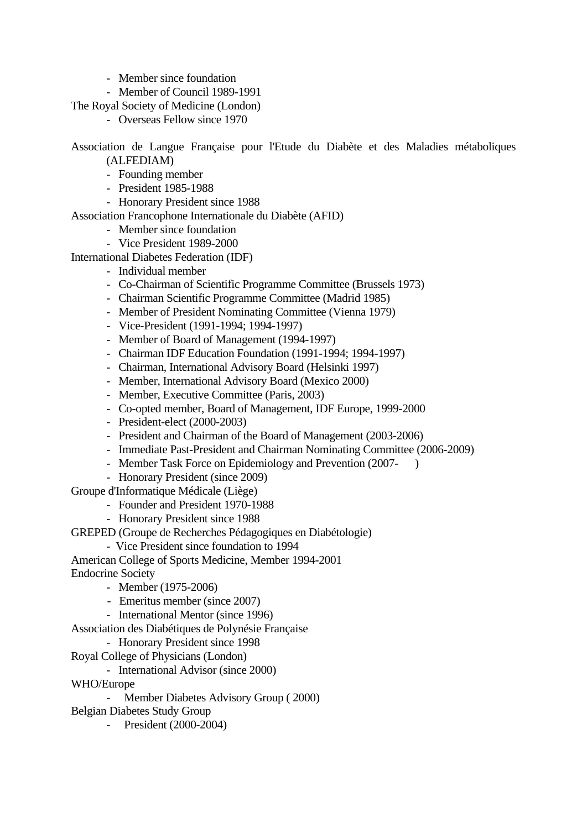- Member since foundation
- Member of Council 1989-1991
- The Royal Society of Medicine (London)
	- Overseas Fellow since 1970

Association de Langue Française pour l'Etude du Diabète et des Maladies métaboliques (ALFEDIAM)

- Founding member
- President 1985-1988
- Honorary President since 1988

Association Francophone Internationale du Diabète (AFID)

- Member since foundation
- Vice President 1989-2000
- International Diabetes Federation (IDF)
	- Individual member
	- Co-Chairman of Scientific Programme Committee (Brussels 1973)
	- Chairman Scientific Programme Committee (Madrid 1985)
	- Member of President Nominating Committee (Vienna 1979)
	- Vice-President (1991-1994; 1994-1997)
	- Member of Board of Management (1994-1997)
	- Chairman IDF Education Foundation (1991-1994; 1994-1997)
	- Chairman, International Advisory Board (Helsinki 1997)
	- Member, International Advisory Board (Mexico 2000)
	- Member, Executive Committee (Paris, 2003)
	- Co-opted member, Board of Management, IDF Europe, 1999-2000
	- President-elect (2000-2003)
	- President and Chairman of the Board of Management (2003-2006)
	- Immediate Past-President and Chairman Nominating Committee (2006-2009)
	- Member Task Force on Epidemiology and Prevention (2007-)
	- Honorary President (since 2009)
- Groupe d'Informatique Médicale (Liège)
	- Founder and President 1970-1988
	- Honorary President since 1988
- GREPED (Groupe de Recherches Pédagogiques en Diabétologie)

- Vice President since foundation to 1994

American College of Sports Medicine, Member 1994-2001

- Endocrine Society
	- Member (1975-2006)
	- Emeritus member (since 2007)
	- International Mentor (since 1996)
- Association des Diabétiques de Polynésie Française
	- Honorary President since 1998
- Royal College of Physicians (London)
	- International Advisor (since 2000)
- WHO/Europe
	- Member Diabetes Advisory Group ( 2000)
- Belgian Diabetes Study Group
	- President (2000-2004)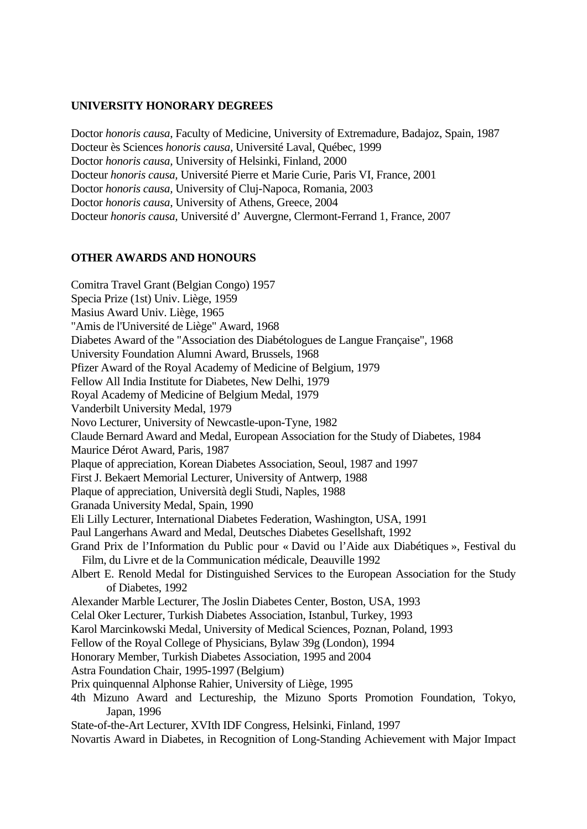### **UNIVERSITY HONORARY DEGREES**

Doctor *honoris causa*, Faculty of Medicine, University of Extremadure, Badajoz, Spain, 1987 Docteur ès Sciences *honoris causa,* Université Laval, Québec, 1999 Doctor *honoris causa,* University of Helsinki, Finland, 2000 Docteur *honoris causa,* Université Pierre et Marie Curie, Paris VI, France, 2001 Doctor *honoris causa,* University of Cluj-Napoca, Romania, 2003 Doctor *honoris causa,* University of Athens, Greece, 2004 Docteur *honoris causa,* Université d' Auvergne, Clermont-Ferrand 1, France, 2007

### **OTHER AWARDS AND HONOURS**

Comitra Travel Grant (Belgian Congo) 1957 Specia Prize (1st) Univ. Liège, 1959 Masius Award Univ. Liège, 1965 "Amis de l'Université de Liège" Award, 1968 Diabetes Award of the "Association des Diabétologues de Langue Française", 1968 University Foundation Alumni Award, Brussels, 1968 Pfizer Award of the Royal Academy of Medicine of Belgium, 1979 Fellow All India Institute for Diabetes, New Delhi, 1979 Royal Academy of Medicine of Belgium Medal, 1979 Vanderbilt University Medal, 1979 Novo Lecturer, University of Newcastle-upon-Tyne, 1982 Claude Bernard Award and Medal, European Association for the Study of Diabetes, 1984 Maurice Dérot Award, Paris, 1987 Plaque of appreciation, Korean Diabetes Association, Seoul, 1987 and 1997 First J. Bekaert Memorial Lecturer, University of Antwerp, 1988 Plaque of appreciation, Università degli Studi, Naples, 1988 Granada University Medal, Spain, 1990 Eli Lilly Lecturer, International Diabetes Federation, Washington, USA, 1991 Paul Langerhans Award and Medal, Deutsches Diabetes Gesellshaft, 1992 Grand Prix de l'Information du Public pour « David ou l'Aide aux Diabétiques », Festival du Film, du Livre et de la Communication médicale, Deauville 1992 Albert E. Renold Medal for Distinguished Services to the European Association for the Study of Diabetes, 1992 Alexander Marble Lecturer, The Joslin Diabetes Center, Boston, USA, 1993 Celal Oker Lecturer, Turkish Diabetes Association, Istanbul, Turkey, 1993 Karol Marcinkowski Medal, University of Medical Sciences, Poznan, Poland, 1993 Fellow of the Royal College of Physicians, Bylaw 39g (London), 1994 Honorary Member, Turkish Diabetes Association, 1995 and 2004 Astra Foundation Chair, 1995-1997 (Belgium) Prix quinquennal Alphonse Rahier, University of Liège, 1995 4th Mizuno Award and Lectureship, the Mizuno Sports Promotion Foundation, Tokyo, Japan, 1996 State-of-the-Art Lecturer, XVIth IDF Congress, Helsinki, Finland, 1997 Novartis Award in Diabetes, in Recognition of Long-Standing Achievement with Major Impact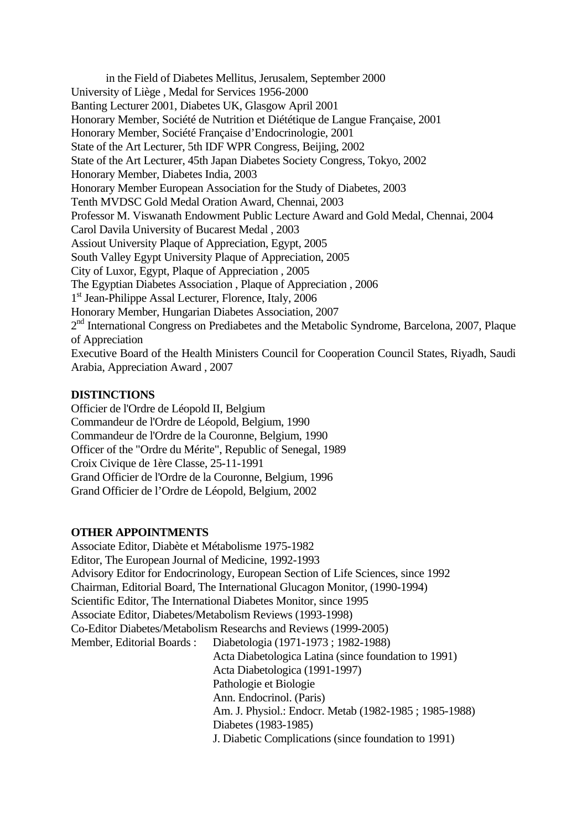in the Field of Diabetes Mellitus, Jerusalem, September 2000 University of Liège , Medal for Services 1956-2000 Banting Lecturer 2001, Diabetes UK, Glasgow April 2001 Honorary Member, Société de Nutrition et Diététique de Langue Française, 2001 Honorary Member, Société Française d'Endocrinologie, 2001 State of the Art Lecturer, 5th IDF WPR Congress, Beijing, 2002 State of the Art Lecturer, 45th Japan Diabetes Society Congress, Tokyo, 2002 Honorary Member, Diabetes India, 2003 Honorary Member European Association for the Study of Diabetes, 2003 Tenth MVDSC Gold Medal Oration Award, Chennai, 2003 Professor M. Viswanath Endowment Public Lecture Award and Gold Medal, Chennai, 2004 Carol Davila University of Bucarest Medal , 2003 Assiout University Plaque of Appreciation, Egypt, 2005 South Valley Egypt University Plaque of Appreciation, 2005 City of Luxor, Egypt, Plaque of Appreciation , 2005 The Egyptian Diabetes Association , Plaque of Appreciation , 2006 1<sup>st</sup> Jean-Philippe Assal Lecturer, Florence, Italy, 2006 Honorary Member, Hungarian Diabetes Association, 2007 2<sup>nd</sup> International Congress on Prediabetes and the Metabolic Syndrome, Barcelona, 2007, Plaque of Appreciation Executive Board of the Health Ministers Council for Cooperation Council States, Riyadh, Saudi Arabia, Appreciation Award , 2007

### **DISTINCTIONS**

Officier de l'Ordre de Léopold II, Belgium Commandeur de l'Ordre de Léopold, Belgium, 1990 Commandeur de l'Ordre de la Couronne, Belgium, 1990 Officer of the "Ordre du Mérite", Republic of Senegal, 1989 Croix Civique de 1ère Classe, 25-11-1991 Grand Officier de l'Ordre de la Couronne, Belgium, 1996 Grand Officier de l'Ordre de Léopold, Belgium, 2002

#### **OTHER APPOINTMENTS**

Associate Editor, Diabète et Métabolisme 1975-1982 Editor, The European Journal of Medicine, 1992-1993 Advisory Editor for Endocrinology, European Section of Life Sciences, since 1992 Chairman, Editorial Board, The International Glucagon Monitor, (1990-1994) Scientific Editor, The International Diabetes Monitor, since 1995 Associate Editor, Diabetes/Metabolism Reviews (1993-1998) Co-Editor Diabetes/Metabolism Researchs and Reviews (1999-2005) Member, Editorial Boards : Diabetologia (1971-1973 ; 1982-1988) Acta Diabetologica Latina (since foundation to 1991) Acta Diabetologica (1991-1997) Pathologie et Biologie Ann. Endocrinol. (Paris) Am. J. Physiol.: Endocr. Metab (1982-1985 ; 1985-1988) Diabetes (1983-1985) J. Diabetic Complications (since foundation to 1991)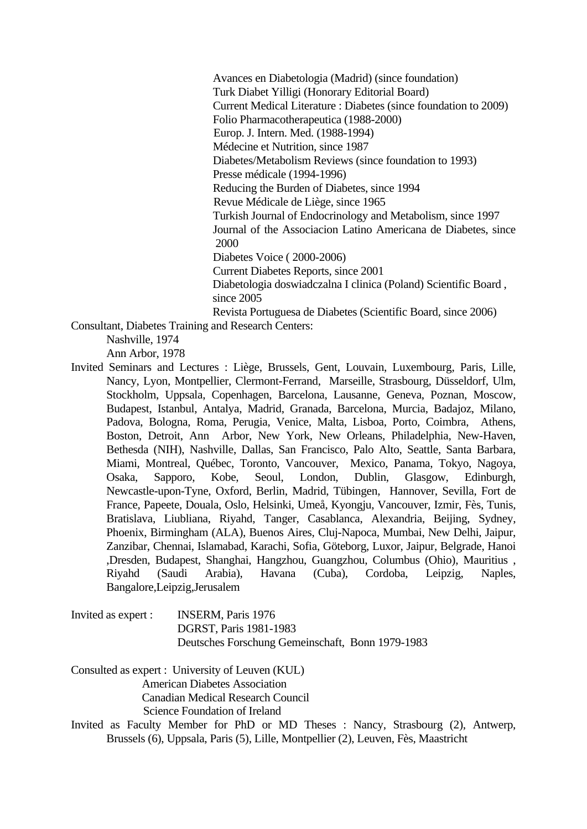Avances en Diabetologia (Madrid) (since foundation) Turk Diabet Yilligi (Honorary Editorial Board) Current Medical Literature : Diabetes (since foundation to 2009) Folio Pharmacotherapeutica (1988-2000) Europ. J. Intern. Med. (1988-1994) Médecine et Nutrition, since 1987 Diabetes/Metabolism Reviews (since foundation to 1993) Presse médicale (1994-1996) Reducing the Burden of Diabetes, since 1994 Revue Médicale de Liège, since 1965 Turkish Journal of Endocrinology and Metabolism, since 1997 Journal of the Associacion Latino Americana de Diabetes, since 2000 Diabetes Voice ( 2000-2006) Current Diabetes Reports, since 2001 Diabetologia doswiadczalna I clinica (Poland) Scientific Board , since 2005 Revista Portuguesa de Diabetes (Scientific Board, since 2006)

Consultant, Diabetes Training and Research Centers:

Nashville, 1974

Ann Arbor, 1978

Invited Seminars and Lectures : Liège, Brussels, Gent, Louvain, Luxembourg, Paris, Lille, Nancy, Lyon, Montpellier, Clermont-Ferrand, Marseille, Strasbourg, Düsseldorf, Ulm, Stockholm, Uppsala, Copenhagen, Barcelona, Lausanne, Geneva, Poznan, Moscow, Budapest, Istanbul, Antalya, Madrid, Granada, Barcelona, Murcia, Badajoz, Milano, Padova, Bologna, Roma, Perugia, Venice, Malta, Lisboa, Porto, Coimbra, Athens, Boston, Detroit, Ann Arbor, New York, New Orleans, Philadelphia, New-Haven, Bethesda (NIH), Nashville, Dallas, San Francisco, Palo Alto, Seattle, Santa Barbara, Miami, Montreal, Québec, Toronto, Vancouver, Mexico, Panama, Tokyo, Nagoya, Osaka, Sapporo, Kobe, Seoul, London, Dublin, Glasgow, Edinburgh, Newcastle-upon-Tyne, Oxford, Berlin, Madrid, Tübingen, Hannover, Sevilla, Fort de France, Papeete, Douala, Oslo, Helsinki, Umeå, Kyongju, Vancouver, Izmir, Fès, Tunis, Bratislava, Liubliana, Riyahd, Tanger, Casablanca, Alexandria, Beijing, Sydney, Phoenix, Birmingham (ALA), Buenos Aires, Cluj-Napoca, Mumbai, New Delhi, Jaipur, Zanzibar, Chennai, Islamabad, Karachi, Sofia, Göteborg, Luxor, Jaipur, Belgrade, Hanoi ,Dresden, Budapest, Shanghai, Hangzhou, Guangzhou, Columbus (Ohio), Mauritius , Riyahd (Saudi Arabia), Havana (Cuba), Cordoba, Leipzig, Naples, Bangalore,Leipzig,Jerusalem

Invited as expert : INSERM, Paris 1976 DGRST, Paris 1981-1983 Deutsches Forschung Gemeinschaft, Bonn 1979-1983

Consulted as expert : University of Leuven (KUL) American Diabetes Association Canadian Medical Research Council Science Foundation of Ireland

Invited as Faculty Member for PhD or MD Theses : Nancy, Strasbourg (2), Antwerp, Brussels (6), Uppsala, Paris (5), Lille, Montpellier (2), Leuven, Fès, Maastricht